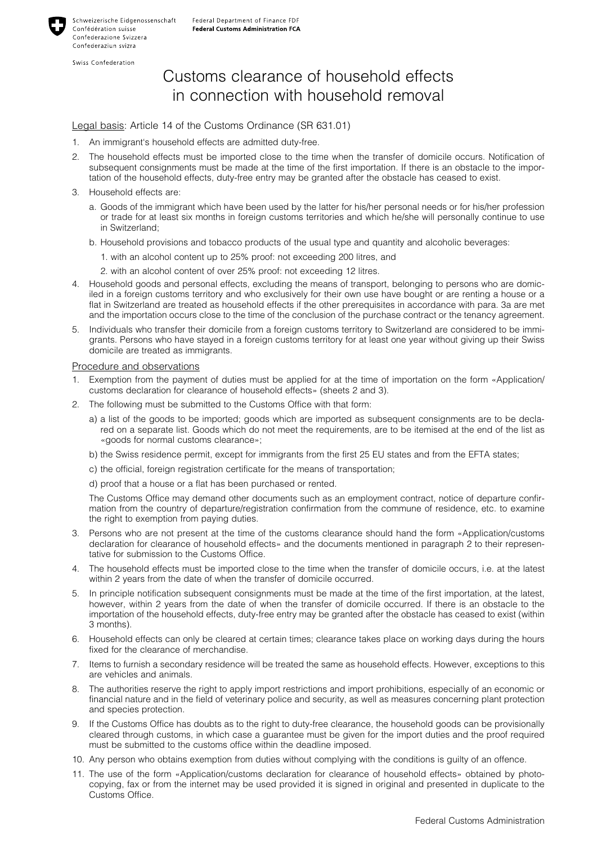Swiss Confederation

## Customs clearance of household effects in connection with household removal

## Legal basis: Article 14 of the Customs Ordinance (SR 631.01)

- 1. An immigrant's household effects are admitted duty-free.
- 2. The household effects must be imported close to the time when the transfer of domicile occurs. Notification of subsequent consignments must be made at the time of the first importation. If there is an obstacle to the importation of the household effects, duty-free entry may be granted after the obstacle has ceased to exist.
- 3. Household effects are:
	- a. Goods of the immigrant which have been used by the latter for his/her personal needs or for his/her profession or trade for at least six months in foreign customs territories and which he/she will personally continue to use in Switzerland;
	- b. Household provisions and tobacco products of the usual type and quantity and alcoholic beverages:
		- 1. with an alcohol content up to 25% proof: not exceeding 200 litres, and
		- 2. with an alcohol content of over 25% proof: not exceeding 12 litres.
- 4. Household goods and personal effects, excluding the means of transport, belonging to persons who are domiciled in a foreign customs territory and who exclusively for their own use have bought or are renting a house or a flat in Switzerland are treated as household effects if the other prerequisites in accordance with para. 3a are met and the importation occurs close to the time of the conclusion of the purchase contract or the tenancy agreement.
- 5. Individuals who transfer their domicile from a foreign customs territory to Switzerland are considered to be immigrants. Persons who have stayed in a foreign customs territory for at least one year without giving up their Swiss domicile are treated as immigrants.

## Procedure and observations

- 1. Exemption from the payment of duties must be applied for at the time of importation on the form «Application/ customs declaration for clearance of household effects» (sheets 2 and 3).
- 2. The following must be submitted to the Customs Office with that form:
	- a) a list of the goods to be imported; goods which are imported as subsequent consignments are to be declared on a separate list. Goods which do not meet the requirements, are to be itemised at the end of the list as «goods for normal customs clearance»;
	- b) the Swiss residence permit, except for immigrants from the first 25 EU states and from the EFTA states;
	- c) the official, foreign registration certificate for the means of transportation;
	- d) proof that a house or a flat has been purchased or rented.

The Customs Office may demand other documents such as an employment contract, notice of departure confirmation from the country of departure/registration confirmation from the commune of residence, etc. to examine the right to exemption from paying duties.

- 3. Persons who are not present at the time of the customs clearance should hand the form «Application/customs declaration for clearance of household effects» and the documents mentioned in paragraph 2 to their representative for submission to the Customs Office.
- 4. The household effects must be imported close to the time when the transfer of domicile occurs, i.e. at the latest within 2 years from the date of when the transfer of domicile occurred.
- 5. In principle notification subsequent consignments must be made at the time of the first importation, at the latest, however, within 2 years from the date of when the transfer of domicile occurred. If there is an obstacle to the importation of the household effects, duty-free entry may be granted after the obstacle has ceased to exist (within 3 months).
- 6. Household effects can only be cleared at certain times; clearance takes place on working days during the hours fixed for the clearance of merchandise.
- 7. Items to furnish a secondary residence will be treated the same as household effects. However, exceptions to this are vehicles and animals.
- 8. The authorities reserve the right to apply import restrictions and import prohibitions, especially of an economic or financial nature and in the field of veterinary police and security, as well as measures concerning plant protection and species protection.
- 9. If the Customs Office has doubts as to the right to duty-free clearance, the household goods can be provisionally cleared through customs, in which case a guarantee must be given for the import duties and the proof required must be submitted to the customs office within the deadline imposed.
- 10. Any person who obtains exemption from duties without complying with the conditions is guilty of an offence.
- 11. The use of the form «Application/customs declaration for clearance of household effects» obtained by photocopying, fax or from the internet may be used provided it is signed in original and presented in duplicate to the Customs Office.